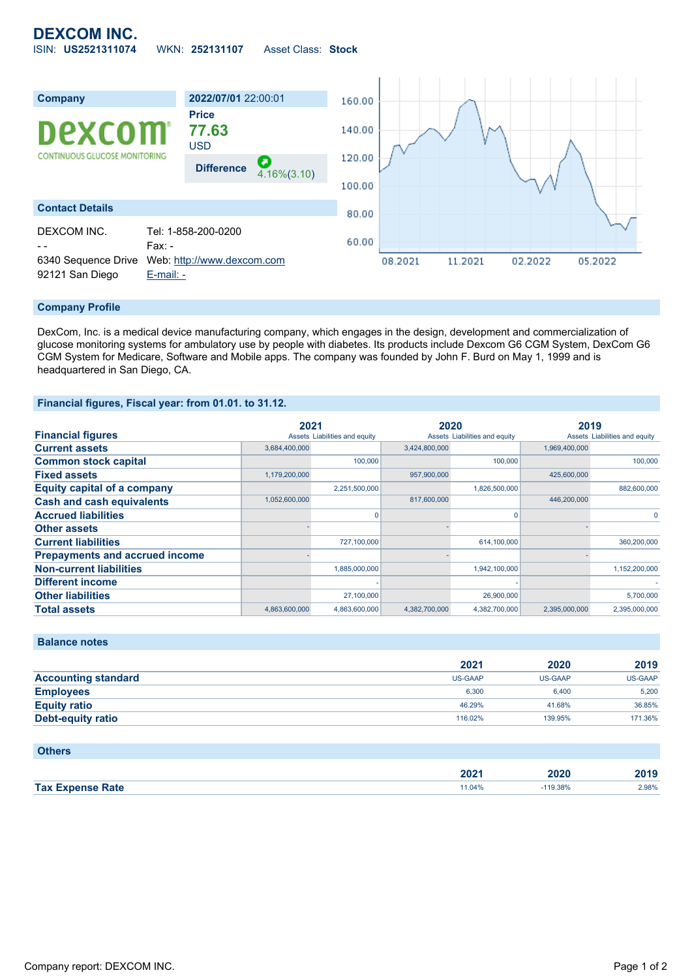## **DEXCOM INC.** ISIN: **US2521311074** WKN: **252131107** Asset Class: **Stock**



## **Company Profile**

DexCom, Inc. is a medical device manufacturing company, which engages in the design, development and commercialization of glucose monitoring systems for ambulatory use by people with diabetes. Its products include Dexcom G6 CGM System, DexCom G6 CGM System for Medicare, Software and Mobile apps. The company was founded by John F. Burd on May 1, 1999 and is headquartered in San Diego, CA.

## **Financial figures, Fiscal year: from 01.01. to 31.12.**

|                                       | 2021          |                               | 2020          |                               | 2019          |                               |
|---------------------------------------|---------------|-------------------------------|---------------|-------------------------------|---------------|-------------------------------|
| <b>Financial figures</b>              |               | Assets Liabilities and equity |               | Assets Liabilities and equity |               | Assets Liabilities and equity |
| <b>Current assets</b>                 | 3,684,400,000 |                               | 3,424,800,000 |                               | 1,969,400,000 |                               |
| <b>Common stock capital</b>           |               | 100,000                       |               | 100,000                       |               | 100,000                       |
| <b>Fixed assets</b>                   | 1,179,200,000 |                               | 957,900,000   |                               | 425,600,000   |                               |
| <b>Equity capital of a company</b>    |               | 2,251,500,000                 |               | 1,826,500,000                 |               | 882,600,000                   |
| <b>Cash and cash equivalents</b>      | 1,052,600,000 |                               | 817,600,000   |                               | 446,200,000   |                               |
| <b>Accrued liabilities</b>            |               |                               |               |                               |               | $\Omega$                      |
| <b>Other assets</b>                   |               |                               |               |                               |               |                               |
| <b>Current liabilities</b>            |               | 727,100,000                   |               | 614,100,000                   |               | 360,200,000                   |
| <b>Prepayments and accrued income</b> |               |                               |               |                               |               |                               |
| <b>Non-current liabilities</b>        |               | 1,885,000,000                 |               | 1,942,100,000                 |               | 1,152,200,000                 |
| <b>Different income</b>               |               |                               |               |                               |               |                               |
| <b>Other liabilities</b>              |               | 27,100,000                    |               | 26,900,000                    |               | 5,700,000                     |
| <b>Total assets</b>                   | 4,863,600,000 | 4,863,600,000                 | 4,382,700,000 | 4,382,700,000                 | 2,395,000,000 | 2,395,000,000                 |

**Balance notes**

|                            | 2021           | 2020    | 2019           |
|----------------------------|----------------|---------|----------------|
| <b>Accounting standard</b> | <b>US-GAAP</b> | US-GAAP | <b>US-GAAP</b> |
| <b>Employees</b>           | 6.300          | 6.400   | 5.200          |
| <b>Equity ratio</b>        | 46.29%         | 41.68%  | 36.85%         |
| <b>Debt-equity ratio</b>   | 116.02%        | 139.95% | 171.36%        |

| <b>Others</b>           |        |            |       |
|-------------------------|--------|------------|-------|
|                         | 2021   | 2020       | 2019  |
| <b>Tax Expense Rate</b> | 11.04% | $-119.38%$ | 2.98% |